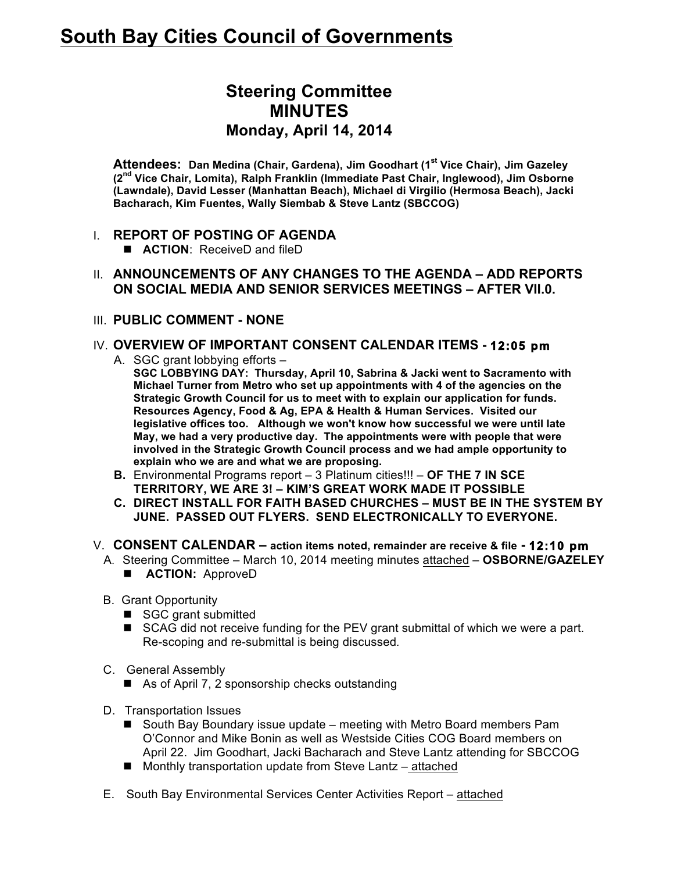# **South Bay Cities Council of Governments**

# **Steering Committee MINUTES Monday, April 14, 2014**

**Attendees: Dan Medina (Chair, Gardena), Jim Goodhart (1st Vice Chair), Jim Gazeley (2nd Vice Chair, Lomita), Ralph Franklin (Immediate Past Chair, Inglewood), Jim Osborne (Lawndale), David Lesser (Manhattan Beach), Michael di Virgilio (Hermosa Beach), Jacki Bacharach, Kim Fuentes, Wally Siembab & Steve Lantz (SBCCOG)**

#### I. **REPORT OF POSTING OF AGENDA**

- **ACTION**: ReceiveD and fileD
- II. **ANNOUNCEMENTS OF ANY CHANGES TO THE AGENDA – ADD REPORTS ON SOCIAL MEDIA AND SENIOR SERVICES MEETINGS – AFTER VII.0.**
- III. **PUBLIC COMMENT - NONE**

# IV. **OVERVIEW OF IMPORTANT CONSENT CALENDAR ITEMS - 12:05 pm**

A. SGC grant lobbying efforts –

**SGC LOBBYING DAY: Thursday, April 10, Sabrina & Jacki went to Sacramento with Michael Turner from Metro who set up appointments with 4 of the agencies on the Strategic Growth Council for us to meet with to explain our application for funds. Resources Agency, Food & Ag, EPA & Health & Human Services. Visited our legislative offices too. Although we won't know how successful we were until late May, we had a very productive day. The appointments were with people that were involved in the Strategic Growth Council process and we had ample opportunity to explain who we are and what we are proposing.**

- **B.** Environmental Programs report 3 Platinum cities!!! **OF THE 7 IN SCE TERRITORY, WE ARE 3! – KIM'S GREAT WORK MADE IT POSSIBLE**
- **C. DIRECT INSTALL FOR FAITH BASED CHURCHES – MUST BE IN THE SYSTEM BY JUNE. PASSED OUT FLYERS. SEND ELECTRONICALLY TO EVERYONE.**
- V. **CONSENT CALENDAR – action items noted, remainder are receive & file - 12:10 pm** 
	- A. Steering Committee March 10, 2014 meeting minutes attached **OSBORNE/GAZELEY E ACTION:** ApproveD
	- B. Grant Opportunity
		- SGC grant submitted
		- SCAG did not receive funding for the PEV grant submittal of which we were a part. Re-scoping and re-submittal is being discussed*.*
	- C. General Assembly
		- As of April 7, 2 sponsorship checks outstanding
	- D. Transportation Issues
		- South Bay Boundary issue update meeting with Metro Board members Pam O'Connor and Mike Bonin as well as Westside Cities COG Board members on April 22. Jim Goodhart, Jacki Bacharach and Steve Lantz attending for SBCCOG
		- Monthly transportation update from Steve Lantz attached
	- E. South Bay Environmental Services Center Activities Report attached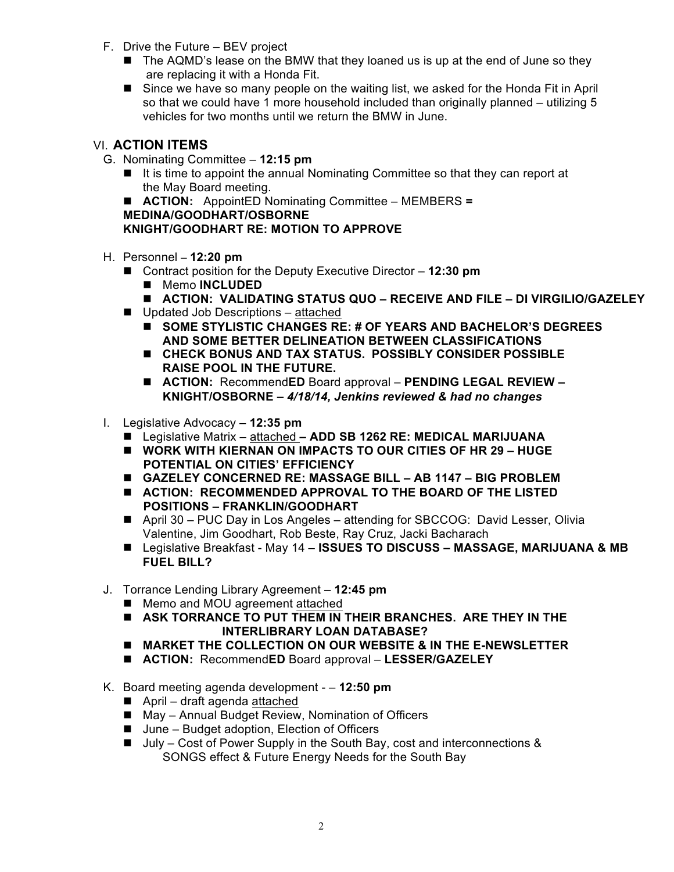- F. Drive the Future BEV project
	- The AQMD's lease on the BMW that they loaned us is up at the end of June so they are replacing it with a Honda Fit.
	- **E** Since we have so many people on the waiting list, we asked for the Honda Fit in April so that we could have 1 more household included than originally planned – utilizing 5 vehicles for two months until we return the BMW in June.

# VI. **ACTION ITEMS**

- G. Nominating Committee **12:15 pm**
	- It is time to appoint the annual Nominating Committee so that they can report at the May Board meeting.

! **ACTION:** AppointED Nominating Committee – MEMBERS **=**

**MEDINA/GOODHART/OSBORNE**

# **KNIGHT/GOODHART RE: MOTION TO APPROVE**

- H. Personnel **– 12:20 pm**
	- Contract position for the Deputy Executive Director **12:30 pm** 
		- Memo **INCLUDED**
		- ! **ACTION: VALIDATING STATUS QUO – RECEIVE AND FILE – DI VIRGILIO/GAZELEY**
	- Updated Job Descriptions attached
		- ! **SOME STYLISTIC CHANGES RE: # OF YEARS AND BACHELOR'S DEGREES AND SOME BETTER DELINEATION BETWEEN CLASSIFICATIONS**
		- ! **CHECK BONUS AND TAX STATUS. POSSIBLY CONSIDER POSSIBLE RAISE POOL IN THE FUTURE.**
		- **ACTION:** Recommend**ED** Board approval **PENDING LEGAL REVIEW KNIGHT/OSBORNE –** *4/18/14, Jenkins reviewed & had no changes*
- I. Legislative Advocacy **12:35 pm**
	- ! Legislative Matrix attached **– ADD SB 1262 RE: MEDICAL MARIJUANA**
	- ! **WORK WITH KIERNAN ON IMPACTS TO OUR CITIES OF HR 29 – HUGE POTENTIAL ON CITIES' EFFICIENCY**
	- ! **GAZELEY CONCERNED RE: MASSAGE BILL – AB 1147 – BIG PROBLEM**
	- ! **ACTION: RECOMMENDED APPROVAL TO THE BOARD OF THE LISTED POSITIONS – FRANKLIN/GOODHART**
	- ! April 30 PUC Day in Los Angeles attending for SBCCOG: David Lesser, Olivia Valentine, Jim Goodhart, Rob Beste, Ray Cruz, Jacki Bacharach
	- Legislative Breakfast May 14 **ISSUES TO DISCUSS MASSAGE, MARIJUANA & MB FUEL BILL?**
- J. Torrance Lending Library Agreement **12:45 pm**
	- Memo and MOU agreement attached
	- ! **ASK TORRANCE TO PUT THEM IN THEIR BRANCHES. ARE THEY IN THE INTERLIBRARY LOAN DATABASE?**
	- ! **MARKET THE COLLECTION ON OUR WEBSITE & IN THE E-NEWSLETTER**
	- ! **ACTION:** Recommend**ED** Board approval **LESSER/GAZELEY**
- K. Board meeting agenda development – **12:50 pm**
	- April draft agenda attached
	- May Annual Budget Review, Nomination of Officers
	- June Budget adoption, Election of Officers
	- $\blacksquare$  July Cost of Power Supply in the South Bay, cost and interconnections & SONGS effect & Future Energy Needs for the South Bay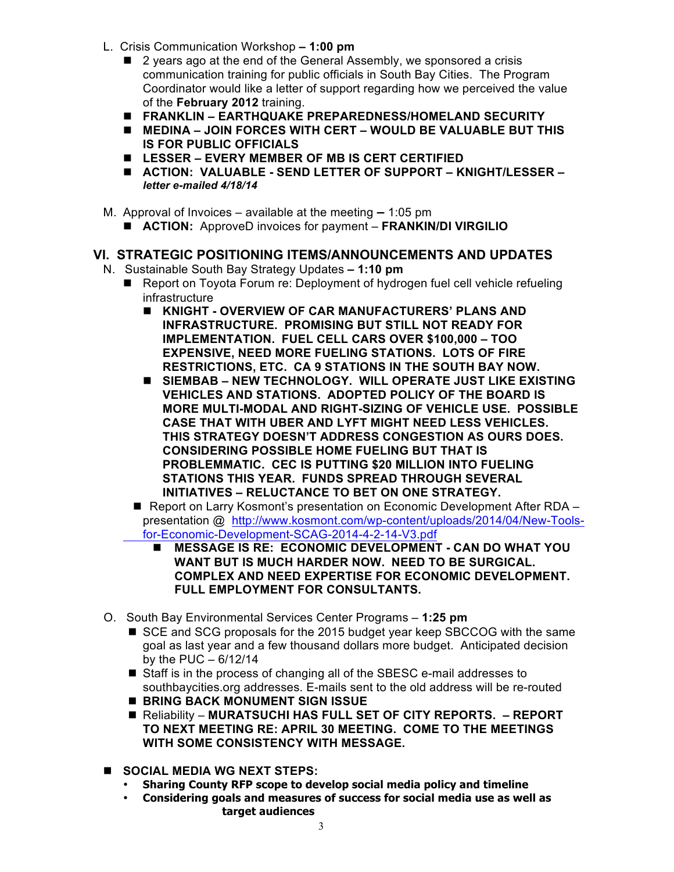- L. Crisis Communication Workshop **– 1:00 pm**
	- 2 years ago at the end of the General Assembly, we sponsored a crisis communication training for public officials in South Bay Cities. The Program Coordinator would like a letter of support regarding how we perceived the value of the **February 2012** training.
	- ! **FRANKLIN – EARTHQUAKE PREPAREDNESS/HOMELAND SECURITY**
	- ! **MEDINA – JOIN FORCES WITH CERT – WOULD BE VALUABLE BUT THIS IS FOR PUBLIC OFFICIALS**
	- ! **LESSER – EVERY MEMBER OF MB IS CERT CERTIFIED**
	- ! **ACTION: VALUABLE - SEND LETTER OF SUPPORT – KNIGHT/LESSER –** *letter e-mailed 4/18/14*
- M. Approval of Invoices available at the meeting **–** 1:05 pm
	- ! **ACTION:** ApproveD invoices for payment **FRANKIN/DI VIRGILIO**

#### **VI. STRATEGIC POSITIONING ITEMS/ANNOUNCEMENTS AND UPDATES**

- N.Sustainable South Bay Strategy Updates **– 1:10 pm**
	- Report on Toyota Forum re: Deployment of hydrogen fuel cell vehicle refueling infrastructure
		- ! **KNIGHT - OVERVIEW OF CAR MANUFACTURERS' PLANS AND INFRASTRUCTURE. PROMISING BUT STILL NOT READY FOR IMPLEMENTATION. FUEL CELL CARS OVER \$100,000 – TOO EXPENSIVE, NEED MORE FUELING STATIONS. LOTS OF FIRE RESTRICTIONS, ETC. CA 9 STATIONS IN THE SOUTH BAY NOW.**
		- ! **SIEMBAB – NEW TECHNOLOGY. WILL OPERATE JUST LIKE EXISTING VEHICLES AND STATIONS. ADOPTED POLICY OF THE BOARD IS MORE MULTI-MODAL AND RIGHT-SIZING OF VEHICLE USE. POSSIBLE CASE THAT WITH UBER AND LYFT MIGHT NEED LESS VEHICLES. THIS STRATEGY DOESN'T ADDRESS CONGESTION AS OURS DOES. CONSIDERING POSSIBLE HOME FUELING BUT THAT IS PROBLEMMATIC. CEC IS PUTTING \$20 MILLION INTO FUELING STATIONS THIS YEAR. FUNDS SPREAD THROUGH SEVERAL INITIATIVES – RELUCTANCE TO BET ON ONE STRATEGY.**
		- Report on Larry Kosmont's presentation on Economic Development After RDA presentation @http://www.kosmont.com/wp-content/uploads/2014/04/New-Toolsfor-Economic-Development-SCAG-2014-4-2-14-V3.pdf
			- ! **MESSAGE IS RE: ECONOMIC DEVELOPMENT - CAN DO WHAT YOU WANT BUT IS MUCH HARDER NOW. NEED TO BE SURGICAL. COMPLEX AND NEED EXPERTISE FOR ECONOMIC DEVELOPMENT. FULL EMPLOYMENT FOR CONSULTANTS.**
- O. South Bay Environmental Services Center Programs **1:25 pm**
	- SCE and SCG proposals for the 2015 budget year keep SBCCOG with the same goal as last year and a few thousand dollars more budget. Anticipated decision by the PUC – 6/12/14
	- Staff is in the process of changing all of the SBESC e-mail addresses to southbaycities.org addresses. E-mails sent to the old address will be re-routed
	- ! **BRING BACK MONUMENT SIGN ISSUE**
	- Reliability MURATSUCHI HAS FULL SET OF CITY REPORTS. REPORT **TO NEXT MEETING RE: APRIL 30 MEETING. COME TO THE MEETINGS WITH SOME CONSISTENCY WITH MESSAGE.**
- ! **SOCIAL MEDIA WG NEXT STEPS:**
	- **Sharing County RFP scope to develop social media policy and timeline**
	- **Considering goals and measures of success for social media use as well as target audiences**